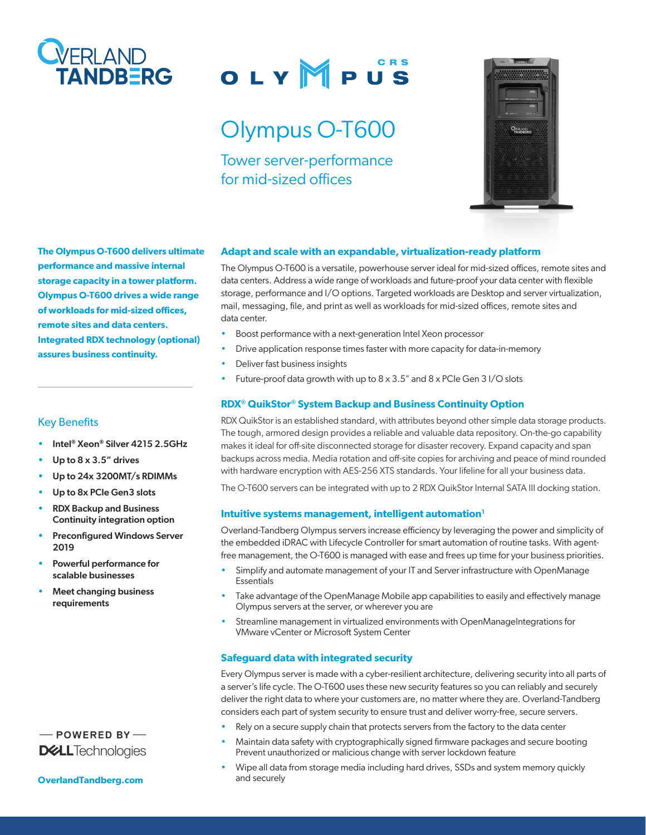

# OLYMPUS

## Olympus O-T600

Tower server-performance for mid-sized offices



**The Olympus O-T600 delivers ultimate performance and massive internal storage capacity in a tower platform. Olympus O-T600 drives a wide range of workloads for mid-sized offices, remote sites and data centers. Integrated RDX technology (optional) assures business continuity.**

#### Key Benefits

- Intel® Xeon® Silver 4215 2.5GHz
- Up to  $8 \times 3.5$ " drives
- Up to 24x 3200MT/s RDIMMs
- Up to 8x PCIe Gen3 slots
- RDX Backup and Business Continuity integration option
- Preconfigured Windows Server 2019
- Powerful performance for scalable businesses
- Meet changing business requirements

### $-$  POWERED BY-**D&LL**Technologies

**[OverlandTandberg.com](http://www.overlandtandberg.com)**

#### **Adapt and scale with an expandable, virtualization-ready platform**

The Olympus O-T600 is a versatile, powerhouse server ideal for mid-sized offices, remote sites and data centers. Address a wide range of workloads and future-proof your data center with flexible storage, performance and I/O options. Targeted workloads are Desktop and server virtualization, mail, messaging, file, and print as well as workloads for mid-sized offices, remote sites and data center.

- Boost performance with a next-generation Intel Xeon processor
- Drive application response times faster with more capacity for data-in-memory
- Deliver fast business insights
- Future-proof data growth with up to  $8 \times 3.5$ " and  $8 \times$  PCIe Gen 3 I/O slots

#### **RDX® QuikStor® System Backup and Business Continuity Option**

RDX QuikStor is an established standard, with attributes beyond other simple data storage products. The tough, armored design provides a reliable and valuable data repository. On-the-go capability makes it ideal for off-site disconnected storage for disaster recovery. Expand capacity and span backups across media. Media rotation and off-site copies for archiving and peace of mind rounded with hardware encryption with AES-256 XTS standards. Your lifeline for all your business data.

The O-T600 servers can be integrated with up to 2 RDX QuikStor Internal SATA III docking station.

#### **Intuitive systems management, intelligent automation<sup>1</sup>**

Overland-Tandberg Olympus servers increase efficiency by leveraging the power and simplicity of the embedded iDRAC with Lifecycle Controller for smart automation of routine tasks. With agentfree management, the O-T600 is managed with ease and frees up time for your business priorities.

- Simplify and automate management of your IT and Server infrastructure with OpenManage Essentials
- Take advantage of the OpenManage Mobile app capabilities to easily and effectively manage Olympus servers at the server, or wherever you are
- Streamline management in virtualized environments with OpenManageIntegrations for VMware vCenter or Microsoft System Center

#### **Safeguard data with integrated security**

Every Olympus server is made with a cyber-resilient architecture, delivering security into all parts of a server's life cycle. The O-T600 uses these new security features so you can reliably and securely deliver the right data to where your customers are, no matter where they are. Overland-Tandberg considers each part of system security to ensure trust and deliver worry-free, secure servers.

- Rely on a secure supply chain that protects servers from the factory to the data center
- Maintain data safety with cryptographically signed firmware packages and secure booting Prevent unauthorized or malicious change with server lockdown feature
- Wipe all data from storage media including hard drives, SSDs and system memory quickly and securely